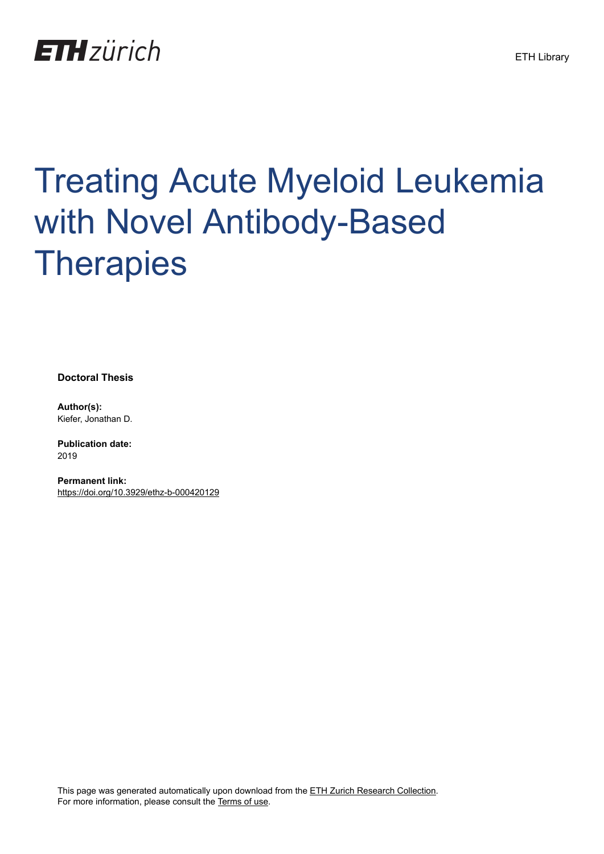

# Treating Acute Myeloid Leukemia with Novel Antibody-Based **Therapies**

**Doctoral Thesis**

**Author(s):** Kiefer, Jonathan D.

**Publication date:** 2019

**Permanent link:** <https://doi.org/10.3929/ethz-b-000420129>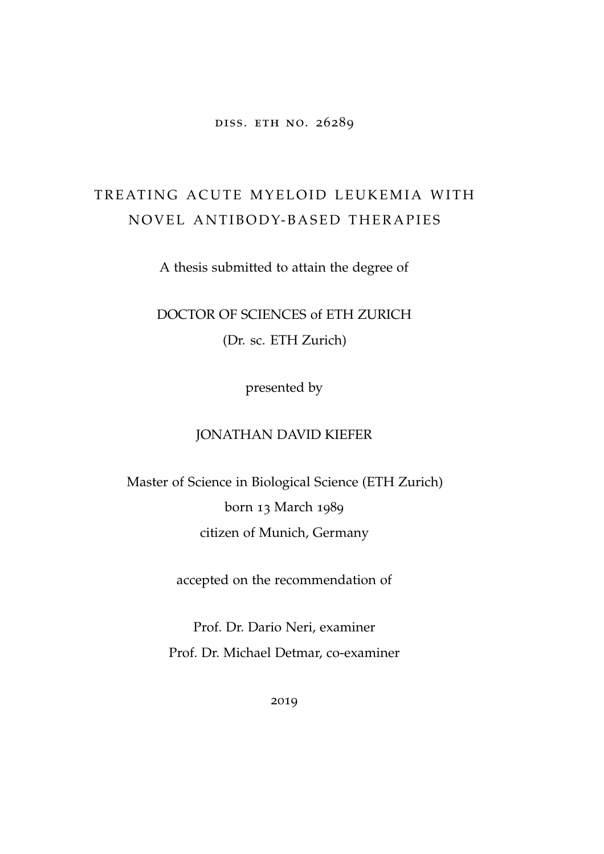### diss. eth no. 26289

## TREATING ACUTE MYELOID LEUKEMIA WITH NOVEL ANTIBODY-BASED THERAPIES

A thesis submitted to attain the degree of

DOCTOR OF SCIENCES of ETH ZURICH (Dr. sc. ETH Zurich)

presented by

## JONATHAN DAVID KIEFER

Master of Science in Biological Science (ETH Zurich) born 13 March 1989 citizen of Munich, Germany

accepted on the recommendation of

Prof. Dr. Dario Neri, examiner Prof. Dr. Michael Detmar, co-examiner

2019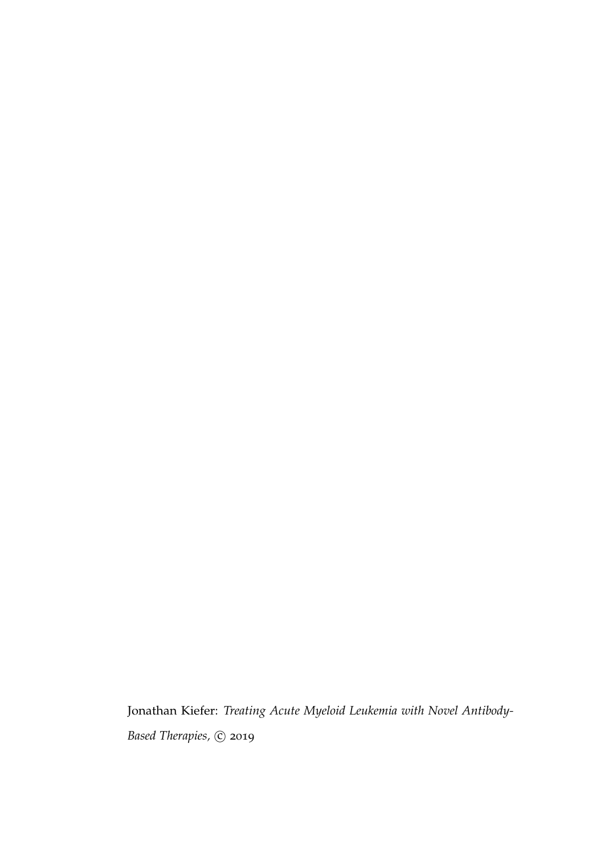Jonathan Kiefer: *Treating Acute Myeloid Leukemia with Novel Antibody-Based Therapies*,  $\odot$  2019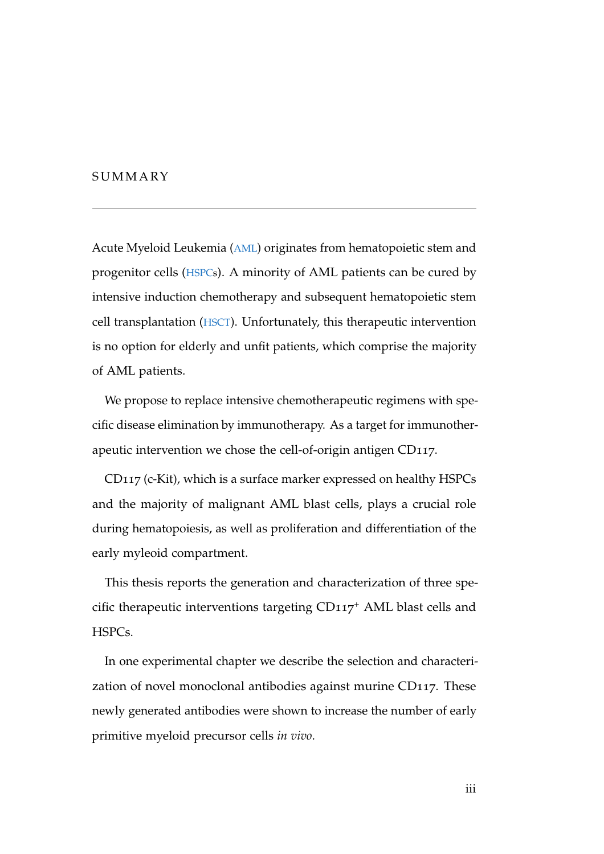## **SUMMARY**

Acute Myeloid Leukemia (AML) originates from hematopoietic stem and progenitor cells (HSPCs). A minority of AML patients can be cured by intensive induction chemotherapy and subsequent hematopoietic stem cell transplantation (HSCT). Unfortunately, this therapeutic intervention is no option for elderly and unfit patients, which comprise the majority of AML patients.

We propose to replace intensive chemotherapeutic regimens with specific disease elimination by immunotherapy. As a target for immunotherapeutic intervention we chose the cell-of-origin antigen CD117.

CD117 (c-Kit), which is a surface marker expressed on healthy HSPCs and the majority of malignant AML blast cells, plays a crucial role during hematopoiesis, as well as proliferation and differentiation of the early myleoid compartment.

This thesis reports the generation and characterization of three specific therapeutic interventions targeting  $CD117<sup>+</sup>$  AML blast cells and HSPCs.

In one experimental chapter we describe the selection and characterization of novel monoclonal antibodies against murine CD117. These newly generated antibodies were shown to increase the number of early primitive myeloid precursor cells *in vivo*.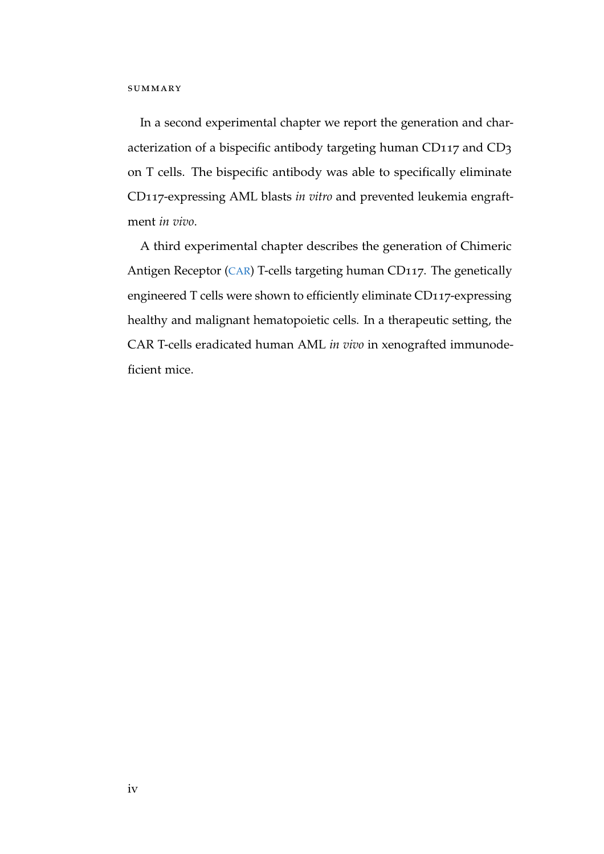In a second experimental chapter we report the generation and characterization of a bispecific antibody targeting human CD117 and CD3 on T cells. The bispecific antibody was able to specifically eliminate CD117-expressing AML blasts *in vitro* and prevented leukemia engraftment *in vivo*.

A third experimental chapter describes the generation of Chimeric Antigen Receptor (CAR) T-cells targeting human CD117. The genetically engineered T cells were shown to efficiently eliminate CD117-expressing healthy and malignant hematopoietic cells. In a therapeutic setting, the CAR T-cells eradicated human AML *in vivo* in xenografted immunodeficient mice.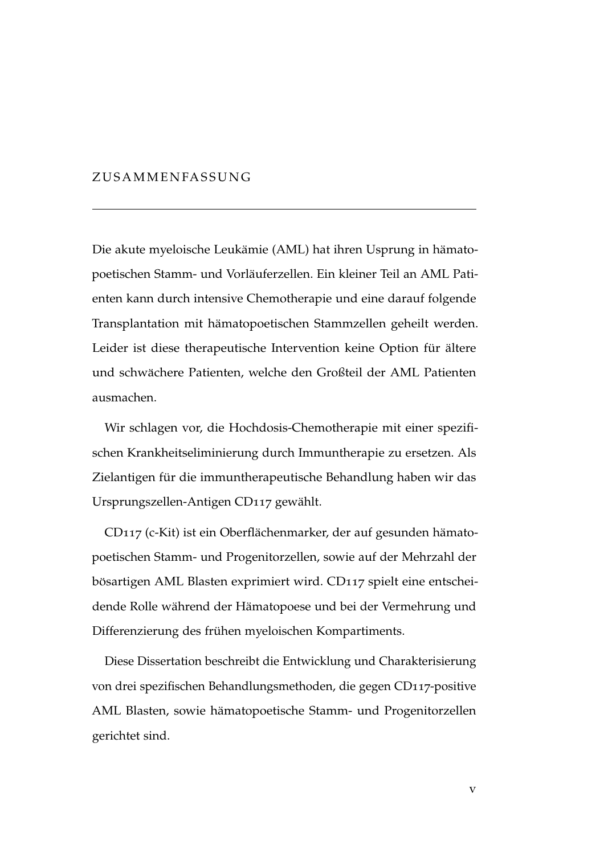## ZUSAMMENFASSUNG

Die akute myeloische Leukämie (AML) hat ihren Usprung in hämatopoetischen Stamm- und Vorlauferzellen. Ein kleiner Teil an AML Pati- ¨ enten kann durch intensive Chemotherapie und eine darauf folgende Transplantation mit hämatopoetischen Stammzellen geheilt werden. Leider ist diese therapeutische Intervention keine Option für ältere und schwächere Patienten, welche den Großteil der AML Patienten ausmachen.

Wir schlagen vor, die Hochdosis-Chemotherapie mit einer spezifischen Krankheitseliminierung durch Immuntherapie zu ersetzen. Als Zielantigen für die immuntherapeutische Behandlung haben wir das Ursprungszellen-Antigen CD117 gewählt.

CD117 (c-Kit) ist ein Oberflächenmarker, der auf gesunden hämatopoetischen Stamm- und Progenitorzellen, sowie auf der Mehrzahl der bösartigen AML Blasten exprimiert wird. CD117 spielt eine entscheidende Rolle während der Hämatopoese und bei der Vermehrung und Differenzierung des frühen myeloischen Kompartiments.

Diese Dissertation beschreibt die Entwicklung und Charakterisierung von drei spezifischen Behandlungsmethoden, die gegen CD117-positive AML Blasten, sowie hämatopoetische Stamm- und Progenitorzellen gerichtet sind.